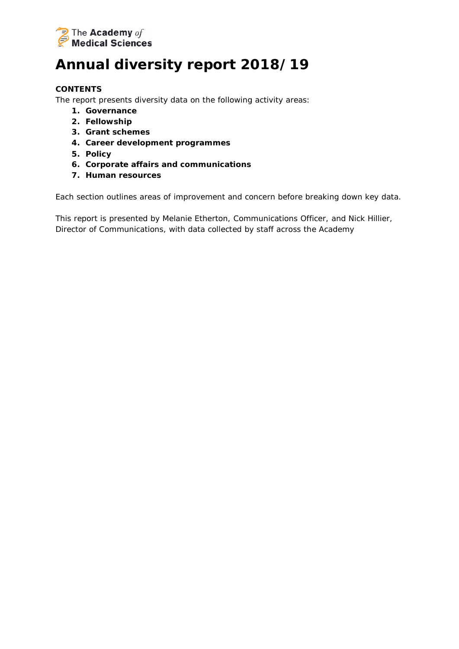

# **Annual diversity report 2018/19**

## **CONTENTS**

The report presents diversity data on the following activity areas:

- **1. Governance**
- **2. Fellowship**
- **3. Grant schemes**
- **4. Career development programmes**
- **5. Policy**
- **6. Corporate affairs and communications**
- **7. Human resources**

Each section outlines areas of improvement and concern before breaking down key data.

*This report is presented by Melanie Etherton, Communications Officer, and Nick Hillier, Director of Communications, with data collected by staff across the Academy*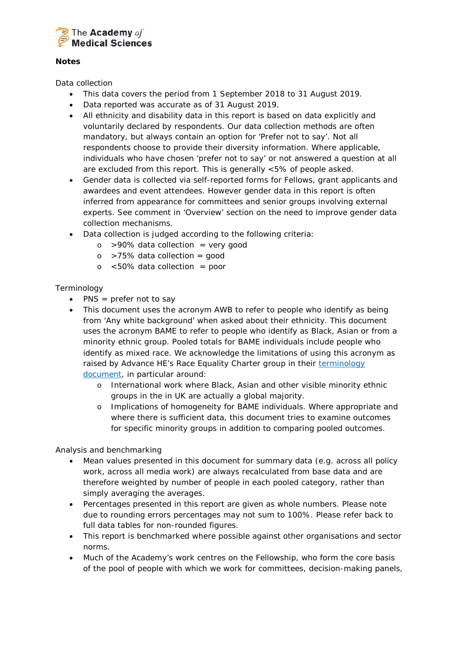

#### *Notes*

#### *Data collection*

- This data covers the period from 1 September 2018 to 31 August 2019.
- Data reported was accurate as of 31 August 2019.
- All ethnicity and disability data in this report is based on data explicitly and voluntarily declared by respondents. Our data collection methods are often mandatory, but always contain an option for 'Prefer not to say'. Not all respondents choose to provide their diversity information. Where applicable, individuals who have chosen 'prefer not to say' or not answered a question at all are excluded from this report. This is generally <5% of people asked.
- Gender data is collected via self-reported forms for Fellows, grant applicants and awardees and event attendees. However gender data in this report is often inferred from appearance for committees and senior groups involving external experts. See comment in 'Overview' section on the need to improve gender data collection mechanisms.
- Data collection is judged according to the following criteria:
	- $\circ$  >90% data collection = very good
	- $\circ$  >75% data collection = good
	- $\circ$  <50% data collection = poor

## *Terminology*

- PNS = prefer not to say
- This document uses the acronym AWB to refer to people who identify as being from 'Any white background' when asked about their ethnicity. This document uses the acronym BAME to refer to people who identify as Black, Asian or from a minority ethnic group. Pooled totals for BAME individuals include people who identify as mixed race. We acknowledge the limitations of using this acronym as raised by Advance HE's Race Equality Charter group in their terminology [document,](https://www.ecu.ac.uk/equality-charters/race-equality-charter/race-equality-charter-resources/) in particular around:
	- o International work where Black, Asian and other visible minority ethnic groups in the in UK are actually a global majority.
	- o Implications of homogeneity for BAME individuals. Where appropriate and where there is sufficient data, this document tries to examine outcomes for specific minority groups in addition to comparing pooled outcomes.

#### *Analysis and benchmarking*

- Mean values presented in this document for summary data (e.g. across all policy work, across all media work) are always recalculated from base data and are therefore weighted by number of people in each pooled category, rather than simply averaging the averages.
- Percentages presented in this report are given as whole numbers. Please note due to rounding errors percentages may not sum to 100%. Please refer back to full data tables for non-rounded figures.
- This report is benchmarked where possible against other organisations and sector norms.
- Much of the Academy's work centres on the Fellowship, who form the core basis of the pool of people with which we work for committees, decision-making panels,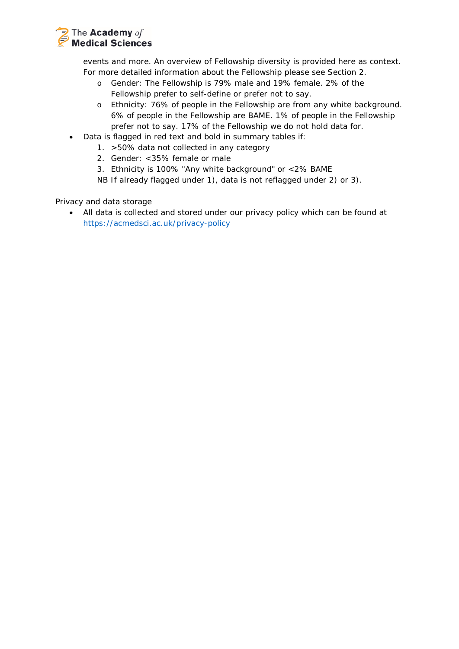

events and more. An overview of Fellowship diversity is provided here as context. For more detailed information about the Fellowship please see Section 2.

- o Gender: The Fellowship is 79% male and 19% female. 2% of the Fellowship prefer to self-define or prefer not to say.
- o Ethnicity: 76% of people in the Fellowship are from any white background. 6% of people in the Fellowship are BAME. 1% of people in the Fellowship prefer not to say. 17% of the Fellowship we do not hold data for.
- Data is flagged in red text and bold in summary tables if:
	- 1. >50% data not collected in any category
	- 2. Gender: <35% female or male
	- 3. Ethnicity is 100% "Any white background" or <2% BAME

*NB If already flagged under 1), data is not reflagged under 2) or 3).*

## *Privacy and data storage*

• All data is collected and stored under our privacy policy which can be found at <https://acmedsci.ac.uk/privacy-policy>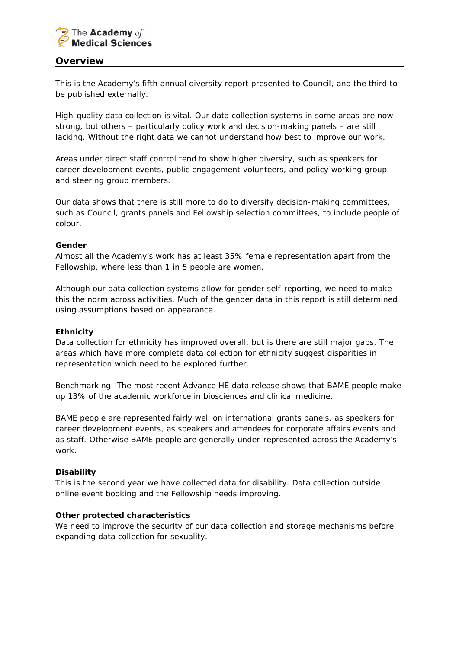

## **Overview**

This is the Academy's fifth annual diversity report presented to Council, and the third to be published externally.

High-quality data collection is vital. Our data collection systems in some areas are now strong, but others – particularly policy work and decision-making panels – are still lacking. Without the right data we cannot understand how best to improve our work.

Areas under direct staff control tend to show higher diversity, such as speakers for career development events, public engagement volunteers, and policy working group and steering group members.

Our data shows that there is still more to do to diversify decision-making committees, such as Council, grants panels and Fellowship selection committees, to include people of colour.

#### *Gender*

Almost all the Academy's work has at least 35% female representation apart from the Fellowship, where less than 1 in 5 people are women.

Although our data collection systems allow for gender self-reporting, we need to make this the norm across activities. Much of the gender data in this report is still determined using assumptions based on appearance.

#### *Ethnicity*

Data collection for ethnicity has improved overall, but is there are still major gaps. The areas which have more complete data collection for ethnicity suggest disparities in representation which need to be explored further.

*Benchmarking: The most recent Advance HE data release shows that BAME people make up 13% of the academic workforce in biosciences and clinical medicine.*

BAME people are represented fairly well on international grants panels, as speakers for career development events, as speakers and attendees for corporate affairs events and as staff. Otherwise BAME people are generally under-represented across the Academy's work.

## *Disability*

This is the second year we have collected data for disability. Data collection outside online event booking and the Fellowship needs improving.

#### *Other protected characteristics*

We need to improve the security of our data collection and storage mechanisms before expanding data collection for sexuality.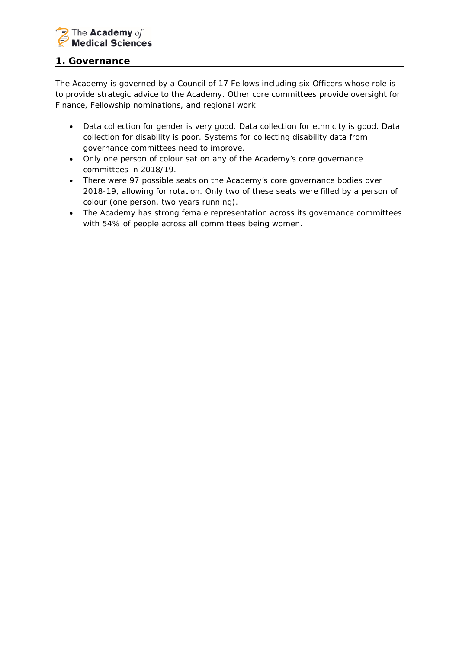

## **1. Governance**

*The Academy is governed by a Council of 17 Fellows including six Officers whose role is to provide strategic advice to the Academy. Other core committees provide oversight for Finance, Fellowship nominations, and regional work.*

- Data collection for gender is very good. Data collection for ethnicity is good. Data collection for disability is poor. Systems for collecting disability data from governance committees need to improve.
- Only one person of colour sat on any of the Academy's core governance committees in 2018/19.
- There were 97 possible seats on the Academy's core governance bodies over 2018-19, allowing for rotation. Only two of these seats were filled by a person of colour (one person, two years running).
- The Academy has strong female representation across its governance committees with 54% of people across all committees being women.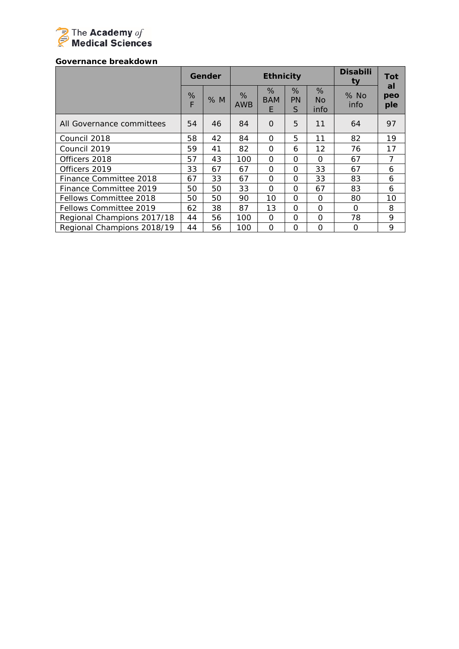

#### *Governance breakdown*

|                            |        | Gender |                 | <b>Ethnicity</b>     |              |                  | <b>Disabili</b><br>ty | Tot              |
|----------------------------|--------|--------|-----------------|----------------------|--------------|------------------|-----------------------|------------------|
|                            | %<br>F | % M    | %<br><b>AWB</b> | %<br><b>BAM</b><br>E | %<br>PN<br>S | %<br>No.<br>info | $%$ No<br>info        | al<br>peo<br>ple |
| All Governance committees  | 54     | 46     | 84              | $\Omega$             | 5            | 11               | 64                    | 97               |
| Council 2018               | 58     | 42     | 84              | $\Omega$             | 5            | 11               | 82                    | 19               |
| Council 2019               | 59     | 41     | 82              | $\Omega$             | 6            | 12               | 76                    | 17               |
| Officers 2018              | 57     | 43     | 100             | $\Omega$             | $\Omega$     | $\Omega$         | 67                    | $\overline{7}$   |
| Officers 2019              | 33     | 67     | 67              | $\Omega$             | $\Omega$     | 33               | 67                    | 6                |
| Finance Committee 2018     | 67     | 33     | 67              | $\Omega$             | $\Omega$     | 33               | 83                    | 6                |
| Finance Committee 2019     | 50     | 50     | 33              | $\Omega$             | $\Omega$     | 67               | 83                    | 6                |
| Fellows Committee 2018     | 50     | 50     | 90              | 10                   | $\Omega$     | $\Omega$         | 80                    | 10               |
| Fellows Committee 2019     | 62     | 38     | 87              | 13                   | $\Omega$     | 0                | O                     | 8                |
| Regional Champions 2017/18 | 44     | 56     | 100             | $\Omega$             | $\Omega$     | $\Omega$         | 78                    | 9                |
| Regional Champions 2018/19 | 44     | 56     | 100             | $\Omega$             | $\Omega$     | O                | 0                     | 9                |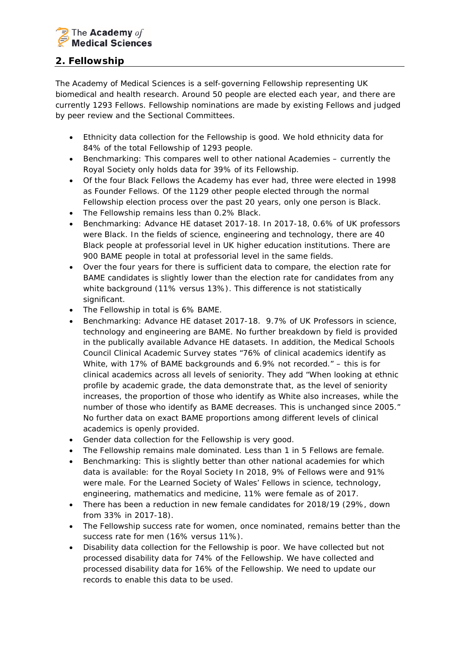

# **2. Fellowship**

*The Academy of Medical Sciences is a self-governing Fellowship representing UK biomedical and health research. Around 50 people are elected each year, and there are currently 1293 Fellows. Fellowship nominations are made by existing Fellows and judged by peer review and the Sectional Committees.*

- Ethnicity data collection for the Fellowship is good. We hold ethnicity data for 84% of the total Fellowship of 1293 people.
- *Benchmarking: This compares well to other national Academies – currently the Royal Society only holds data for 39% of its Fellowship.*
- Of the four Black Fellows the Academy has ever had, three were elected in 1998 as Founder Fellows. Of the 1129 other people elected through the normal Fellowship election process over the past 20 years, only one person is Black.
- The Fellowship remains less than 0.2% Black.
- *Benchmarking: Advance HE dataset 2017-18. In 2017-18, 0.6% of UK professors were Black. In the fields of science, engineering and technology, there are 40 Black people at professorial level in UK higher education institutions. There are 900 BAME people in total at professorial level in the same fields.*
- Over the four years for there is sufficient data to compare, the election rate for BAME candidates is slightly lower than the election rate for candidates from any white background (11% versus 13%). This difference is not statistically significant.
- The Fellowship in total is 6% BAME.
- *Benchmarking: Advance HE dataset 2017-18. 9.7% of UK Professors in science, technology and engineering are BAME. No further breakdown by field is provided in the publically available Advance HE datasets. In addition, the Medical Schools Council Clinical Academic Survey states "76% of clinical academics identify as White, with 17% of BAME backgrounds and 6.9% not recorded." – this is for clinical academics across all levels of seniority. They add "When looking at ethnic profile by academic grade, the data demonstrate that, as the level of seniority increases, the proportion of those who identify as White also increases, while the number of those who identify as BAME decreases. This is unchanged since 2005." No further data on exact BAME proportions among different levels of clinical academics is openly provided.*
- Gender data collection for the Fellowship is very good.
- The Fellowship remains male dominated. Less than 1 in 5 Fellows are female.
- *Benchmarking: This is slightly better than other national academies for which data is available: for the Royal Society In 2018, 9% of Fellows were and 91% were male. For the Learned Society of Wales' Fellows in science, technology, engineering, mathematics and medicine, 11% were female as of 2017.*
- There has been a reduction in new female candidates for 2018/19 (29%, down from 33% in 2017-18).
- The Fellowship success rate for women, once nominated, remains better than the success rate for men (16% versus 11%).
- Disability data collection for the Fellowship is poor. We have collected but not processed disability data for 74% of the Fellowship. We have collected and processed disability data for 16% of the Fellowship. We need to update our records to enable this data to be used.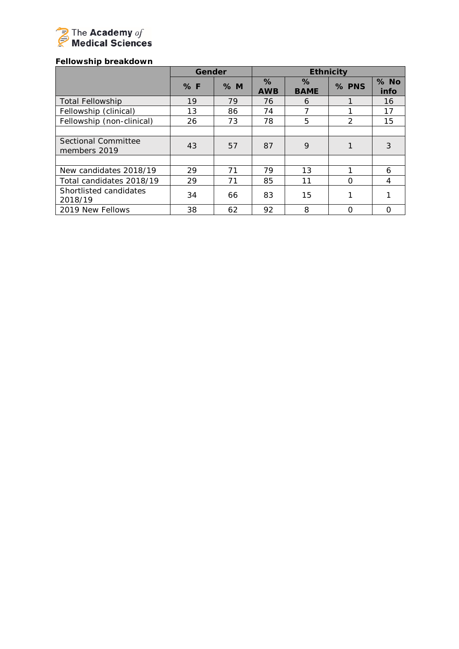

# *Fellowship breakdown*

|                                     | Gender |    |                    |                     | <b>Ethnicity</b> |                |
|-------------------------------------|--------|----|--------------------|---------------------|------------------|----------------|
|                                     | %F     | %M | $\%$<br><b>AWB</b> | $\%$<br><b>BAME</b> | % PNS            | $%$ No<br>info |
| <b>Total Fellowship</b>             | 19     | 79 | 76                 | 6                   |                  | 16             |
| Fellowship (clinical)               | 13     | 86 | 74                 |                     |                  | 17             |
| Fellowship (non-clinical)           | 26     | 73 | 78                 | 5                   | $\mathcal{P}$    | 15             |
|                                     |        |    |                    |                     |                  |                |
| Sectional Committee<br>members 2019 | 43     | 57 | 87                 | 9                   |                  | 3              |
|                                     |        |    |                    |                     |                  |                |
| New candidates 2018/19              | 29     | 71 | 79                 | 13                  |                  | 6              |
| Total candidates 2018/19            | 29     | 71 | 85                 | 11                  | $\Omega$         | 4              |
| Shortlisted candidates<br>2018/19   | 34     | 66 | 83                 | 15                  |                  |                |
| 2019 New Fellows                    | 38     | 62 | 92                 | 8                   | $\Omega$         |                |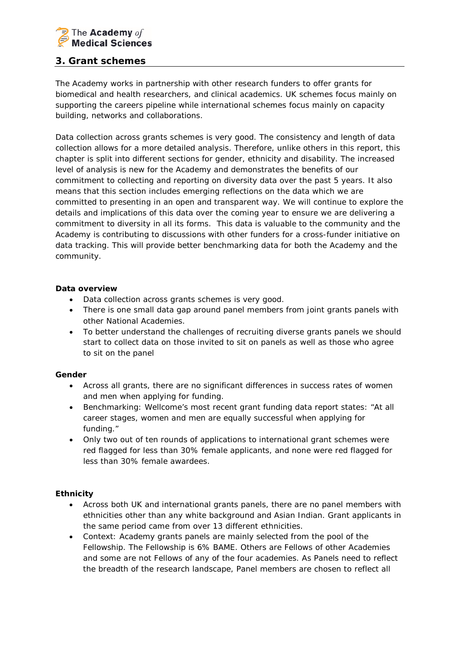

# **3. Grant schemes**

*The Academy works in partnership with other research funders to offer grants for biomedical and health researchers, and clinical academics. UK schemes focus mainly on supporting the careers pipeline while international schemes focus mainly on capacity building, networks and collaborations.*

Data collection across grants schemes is very good. The consistency and length of data collection allows for a more detailed analysis. Therefore, unlike others in this report, this chapter is split into different sections for gender, ethnicity and disability. The increased level of analysis is new for the Academy and demonstrates the benefits of our commitment to collecting and reporting on diversity data over the past 5 years. It also means that this section includes emerging reflections on the data which we are committed to presenting in an open and transparent way. We will continue to explore the details and implications of this data over the coming year to ensure we are delivering a commitment to diversity in all its forms. This data is valuable to the community and the Academy is contributing to discussions with other funders for a cross-funder initiative on data tracking. This will provide better benchmarking data for both the Academy and the community.

## *Data overview*

- Data collection across grants schemes is very good.
- There is one small data gap around panel members from joint grants panels with other National Academies.
- To better understand the challenges of recruiting diverse grants panels we should start to collect data on those invited to sit on panels as well as those who agree to sit on the panel

## *Gender*

- Across all grants, there are no significant differences in success rates of women and men when applying for funding.
- *Benchmarking: Wellcome's most recent grant funding data report states: "At all career stages, women and men are equally successful when applying for funding."*
- Only two out of ten rounds of applications to international grant schemes were red flagged for less than 30% female applicants, and none were red flagged for less than 30% female awardees.

## *Ethnicity*

- Across both UK and international grants panels, there are no panel members with ethnicities other than any white background and Asian Indian. Grant applicants in the same period came from over 13 different ethnicities.
- *Context: Academy grants panels are mainly selected from the pool of the Fellowship. The Fellowship is 6% BAME. Others are Fellows of other Academies and some are not Fellows of any of the four academies. As Panels need to reflect the breadth of the research landscape, Panel members are chosen to reflect all*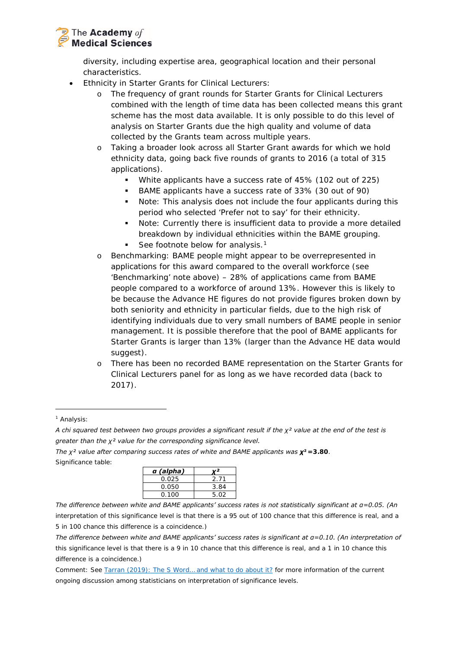

*diversity, including expertise area, geographical location and their personal characteristics.* 

- Ethnicity in Starter Grants for Clinical Lecturers:
	- o The frequency of grant rounds for Starter Grants for Clinical Lecturers combined with the length of time data has been collected means this grant scheme has the most data available. It is only possible to do this level of analysis on Starter Grants due the high quality and volume of data collected by the Grants team across multiple years.
	- o Taking a broader look across all Starter Grant awards for which we hold ethnicity data, going back five rounds of grants to 2016 (a total of 315 applications).
		- White applicants have a success rate of 45% (102 out of 225)
		- BAME applicants have a success rate of 33% (30 out of 90)
		- *Note: This analysis does not include the four applicants during this period who selected 'Prefer not to say' for their ethnicity.*
		- *Note: Currently there is insufficient data to provide a more detailed breakdown by individual ethnicities within the BAME grouping.*
		- *See footnote below for analysis.[1](#page-9-0)*
	- o *Benchmarking: BAME people might appear to be overrepresented in applications for this award compared to the overall workforce (see 'Benchmarking' note above) – 28% of applications came from BAME people compared to a workforce of around 13%. However this is likely to be because the Advance HE figures do not provide figures broken down by both seniority and ethnicity in particular fields, due to the high risk of identifying individuals due to very small numbers of BAME people in senior management. It is possible therefore that the pool of BAME applicants for Starter Grants is larger than 13% (larger than the Advance HE data would suggest).*
	- o There has been no recorded BAME representation on the Starter Grants for Clinical Lecturers panel for as long as we have recorded data (back to 2017).

<span id="page-9-0"></span><sup>1</sup> *Analysis:*

-

*The χ² value after comparing success rates of white and BAME applicants was χ²=3.80. Significance table:*

| 2.71 |
|------|
| 3.84 |
| 5.02 |
|      |

*The difference between white and BAME applicants' success rates is not statistically significant at α=0.05. (An interpretation of this significance level is that there is a 95 out of 100 chance that this difference is real, and a 5 in 100 chance this difference is a coincidence.)*

*The difference between white and BAME applicants' success rates is significant at α=0.10. (An interpretation of this significance level is that there is a 9 in 10 chance that this difference is real, and a 1 in 10 chance this difference is a coincidence.)*

*Comment: See [Tarran \(2019\): The S Word… and what to do about it?](https://doi.org/10.1111/j.1740-9713.2019.01295.x) for more information of the current ongoing discussion among statisticians on interpretation of significance levels.*

*A chi squared test between two groups provides a significant result if the χ² value at the end of the test is greater than the χ² value for the corresponding significance level.*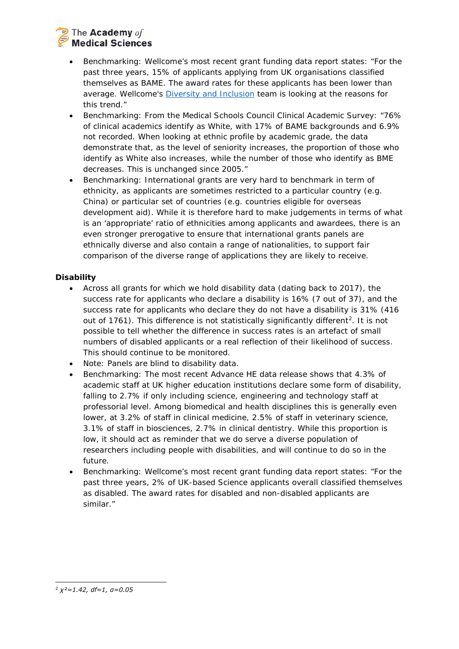# The **Academy** of **Medical Sciences**

- *Benchmarking: Wellcome's most recent grant funding data report states: "For the past three years, 15% of applicants applying from UK organisations classified themselves as BAME. The award rates for these applicants has been lower than average. Wellcome's [Diversity and Inclusion](https://wellcome.ac.uk/what-we-do/our-work/diversity-and-inclusion) team is looking at the reasons for this trend."*
- *Benchmarking: From the Medical Schools Council Clinical Academic Survey: "76% of clinical academics identify as White, with 17% of BAME backgrounds and 6.9% not recorded. When looking at ethnic profile by academic grade, the data demonstrate that, as the level of seniority increases, the proportion of those who identify as White also increases, while the number of those who identify as BME decreases. This is unchanged since 2005."*
- *Benchmarking: International grants are very hard to benchmark in term of ethnicity, as applicants are sometimes restricted to a particular country (e.g. China) or particular set of countries (e.g. countries eligible for overseas development aid). While it is therefore hard to make judgements in terms of what is an 'appropriate' ratio of ethnicities among applicants and awardees, there is an even stronger prerogative to ensure that international grants panels are ethnically diverse and also contain a range of nationalities, to support fair comparison of the diverse range of applications they are likely to receive.*

## *Disability*

- Across all grants for which we hold disability data (dating back to 2017), the success rate for applicants who declare a disability is 16% (7 out of 37), and the success rate for applicants who declare they do not have a disability is 31% (416 out of 1761). This difference is not statistically significantly different<sup>2</sup>. It is not possible to tell whether the difference in success rates is an artefact of small numbers of disabled applicants or a real reflection of their likelihood of success. This should continue to be monitored.
- *Note: Panels are blind to disability data.*
- *Benchmarking: The most recent Advance HE data release shows that 4.3% of academic staff at UK higher education institutions declare some form of disability, falling to 2.7% if only including science, engineering and technology staff at professorial level. Among biomedical and health disciplines this is generally even lower, at 3.2% of staff in clinical medicine, 2.5% of staff in veterinary science, 3.1% of staff in biosciences, 2.7% in clinical dentistry. While this proportion is*  low, it should act as reminder that we do serve a diverse population of *researchers including people with disabilities, and will continue to do so in the future.*
- <span id="page-10-0"></span>• *Benchmarking: Wellcome's most recent grant funding data report states: "For the past three years, 2% of UK-based Science applicants overall classified themselves as disabled. The award rates for disabled and non-disabled applicants are similar."*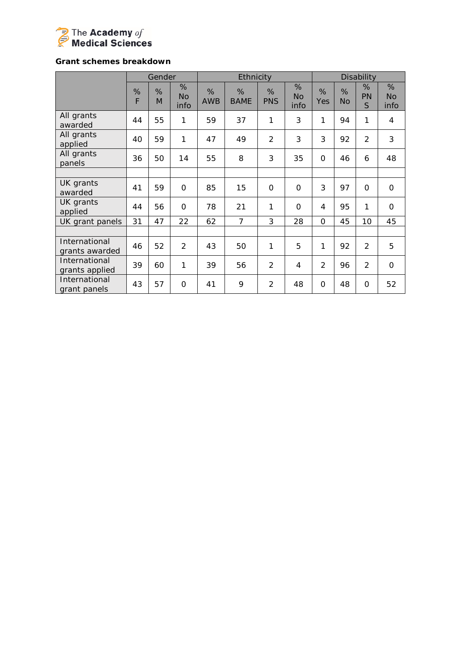

## *Grant schemes breakdown*

|                                 |        | Gender |                        |                 | Ethnicity        |                 |                        |                |                | Disability          |                        |
|---------------------------------|--------|--------|------------------------|-----------------|------------------|-----------------|------------------------|----------------|----------------|---------------------|------------------------|
|                                 | %<br>F | %<br>M | %<br><b>No</b><br>info | %<br><b>AWB</b> | %<br><b>BAME</b> | %<br><b>PNS</b> | %<br><b>No</b><br>info | %<br>Yes       | %<br><b>No</b> | %<br><b>PN</b><br>S | %<br><b>No</b><br>info |
| All grants<br>awarded           | 44     | 55     | 1                      | 59              | 37               | 1               | 3                      | 1              | 94             | 1                   | 4                      |
| All grants<br>applied           | 40     | 59     | 1                      | 47              | 49               | $\overline{2}$  | 3                      | 3              | 92             | $\overline{2}$      | 3                      |
| All grants<br>panels            | 36     | 50     | 14                     | 55              | 8                | 3               | 35                     | $\Omega$       | 46             | 6                   | 48                     |
|                                 |        |        |                        |                 |                  |                 |                        |                |                |                     |                        |
| UK grants<br>awarded            | 41     | 59     | $\Omega$               | 85              | 15               | 0               | $\Omega$               | 3              | 97             | $\Omega$            | $\mathbf 0$            |
| UK grants<br>applied            | 44     | 56     | $\overline{O}$         | 78              | 21               | 1               | $\overline{O}$         | 4              | 95             | 1                   | $\mathbf 0$            |
| UK grant panels                 | 31     | 47     | 22                     | 62              | $\overline{7}$   | 3               | 28                     | $\Omega$       | 45             | 10                  | 45                     |
|                                 |        |        |                        |                 |                  |                 |                        |                |                |                     |                        |
| International<br>grants awarded | 46     | 52     | 2                      | 43              | 50               | 1               | 5                      | 1              | 92             | 2                   | 5                      |
| International<br>grants applied | 39     | 60     | 1                      | 39              | 56               | $\overline{2}$  | 4                      | $\overline{2}$ | 96             | $\overline{2}$      | $\mathbf 0$            |
| International<br>grant panels   | 43     | 57     | O                      | 41              | 9                | $\overline{2}$  | 48                     | 0              | 48             | O                   | 52                     |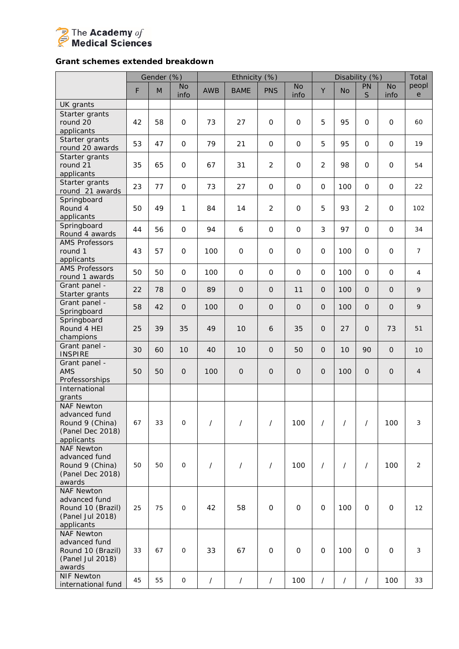

## *Grant schemes extended breakdown*

|                                                                                           |    | Gender (%)                        |                     |            | Ethnicity (%)  |                |                     |                |                | Disability (%)    |                     | Total              |
|-------------------------------------------------------------------------------------------|----|-----------------------------------|---------------------|------------|----------------|----------------|---------------------|----------------|----------------|-------------------|---------------------|--------------------|
|                                                                                           | F  | $\mathsf{M}% _{H}=\mathsf{M}_{H}$ | <b>No</b><br>info   | <b>AWB</b> | <b>BAME</b>    | <b>PNS</b>     | <b>No</b><br>info   | Y              | <b>No</b>      | PN<br>$\mathsf S$ | <b>No</b><br>info   | peopl<br>${\rm e}$ |
| UK grants                                                                                 |    |                                   |                     |            |                |                |                     |                |                |                   |                     |                    |
| Starter grants<br>round 20<br>applicants                                                  | 42 | 58                                | $\mathsf{O}$        | 73         | 27             | $\mathbf 0$    | $\mathbf 0$         | 5              | 95             | $\mathbf 0$       | O                   | 60                 |
| Starter grants<br>round 20 awards                                                         | 53 | 47                                | $\mathsf{O}$        | 79         | 21             | $\mathsf O$    | $\mathsf O$         | 5              | 95             | $\mathsf{O}$      | $\mathbf{O}$        | 19                 |
| Starter grants<br>round 21<br>applicants                                                  | 35 | 65                                | $\mathsf{O}\xspace$ | 67         | 31             | $\overline{2}$ | $\mathsf{O}\xspace$ | $\overline{2}$ | 98             | $\mathbf 0$       | O                   | 54                 |
| Starter grants<br>round 21 awards                                                         | 23 | 77                                | $\mathsf{O}$        | 73         | 27             | $\mathsf{O}$   | $\mathsf{O}$        | $\mathbf 0$    | 100            | $\mathbf{O}$      | $\mathbf{O}$        | 22                 |
| Springboard<br>Round 4<br>applicants                                                      | 50 | 49                                | $\mathbf{1}$        | 84         | 14             | $\overline{2}$ | $\mathsf{O}\xspace$ | 5              | 93             | $\overline{2}$    | O                   | 102                |
| Springboard<br>Round 4 awards                                                             | 44 | 56                                | $\mathsf{O}$        | 94         | 6              | $\mathbf 0$    | $\mathsf{O}\xspace$ | 3              | 97             | $\mathsf{O}$      | O                   | 34                 |
| <b>AMS Professors</b><br>round 1<br>applicants                                            | 43 | 57                                | $\mathbf 0$         | 100        | $\mathsf{O}$   | $\mathbf{O}$   | $\mathbf 0$         | $\Omega$       | 100            | $\Omega$          | $\mathbf{O}$        | $\overline{7}$     |
| <b>AMS Professors</b><br>round 1 awards                                                   | 50 | 50                                | $\mathsf{O}$        | 100        | $\mathsf O$    | $\mathbf 0$    | $\mathsf{O}\xspace$ | $\mathbf 0$    | 100            | $\mathbf{O}$      | $\mathbf{O}$        | 4                  |
| Grant panel -<br>Starter grants                                                           | 22 | 78                                | $\mathbf{O}$        | 89         | $\mathbf 0$    | $\Omega$       | 11                  | $\overline{O}$ | 100            | $\Omega$          | $\Omega$            | 9                  |
| Grant panel -<br>Springboard                                                              | 58 | 42                                | $\Omega$            | 100        | $\mathbf{O}$   | $\mathbf 0$    | $\mathbf 0$         | $\overline{O}$ | 100            | $\Omega$          | $\Omega$            | 9                  |
| Springboard<br>Round 4 HEI<br>champions                                                   | 25 | 39                                | 35                  | 49         | 10             | 6              | 35                  | $\overline{O}$ | 27             | $\mathbf{O}$      | 73                  | 51                 |
| Grant panel -<br><b>INSPIRE</b>                                                           | 30 | 60                                | 10                  | 40         | 10             | $\Omega$       | 50                  | $\overline{O}$ | 10             | 90                | $\Omega$            | 10                 |
| Grant panel -<br><b>AMS</b><br>Professorships                                             | 50 | 50                                | $\Omega$            | 100        | $\overline{O}$ | $\Omega$       | $\Omega$            | $\mathbf{O}$   | 100            | $\Omega$          | $\mathsf{O}\xspace$ | $\overline{4}$     |
| International<br>grants                                                                   |    |                                   |                     |            |                |                |                     |                |                |                   |                     |                    |
| <b>NAF Newton</b><br>advanced fund<br>Round 9 (China)<br>(Panel Dec 2018)<br>applicants   | 67 | 33                                | $\mathsf{O}$        | $\prime$   | $\prime$       | $\prime$       | 100                 | $\prime$       | $\prime$       | $\prime$          | 100                 | $\mathfrak{Z}$     |
| <b>NAF Newton</b><br>advanced fund<br>Round 9 (China)<br>(Panel Dec 2018)<br>awards       | 50 | 50                                | $\mathsf{O}$        | $\prime$   | $\prime$       | $\prime$       | 100                 | $\prime$       | $\overline{1}$ | $\prime$          | 100                 | 2                  |
| <b>NAF Newton</b><br>advanced fund<br>Round 10 (Brazil)<br>(Panel Jul 2018)<br>applicants | 25 | 75                                | 0                   | 42         | 58             | $\mathbf 0$    | $\mathbf 0$         | 0              | 100            | $\mathbf{O}$      | 0                   | 12                 |
| <b>NAF Newton</b><br>advanced fund<br>Round 10 (Brazil)<br>(Panel Jul 2018)<br>awards     | 33 | 67                                | $\mathsf{O}$        | 33         | 67             | $\mathbf 0$    | $\mathbf 0$         | 0              | 100            | $\mathbf{O}$      | $\mathsf{O}\xspace$ | 3                  |
| <b>NIF Newton</b><br>international fund                                                   | 45 | 55                                | $\mathsf O$         | $\sqrt{2}$ | $\sqrt{2}$     | $\prime$       | 100                 | $\prime$       | $\prime$       | $\prime$          | 100                 | 33                 |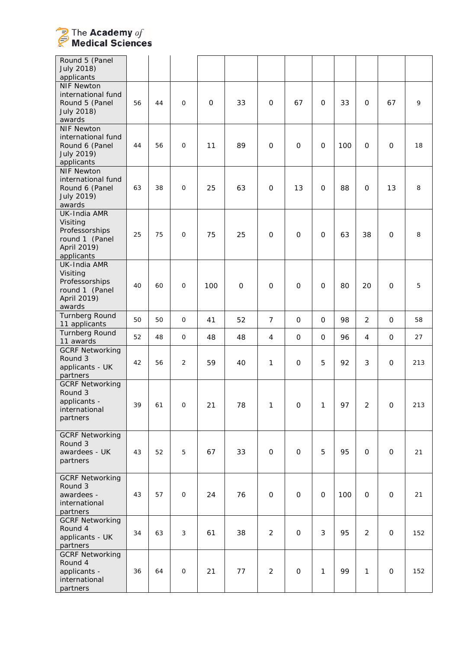

| Round 5 (Panel<br><b>July 2018)</b><br>applicants                                         |    |    |                |             |             |                |                     |              |     |                |              |     |
|-------------------------------------------------------------------------------------------|----|----|----------------|-------------|-------------|----------------|---------------------|--------------|-----|----------------|--------------|-----|
| <b>NIF Newton</b><br>international fund<br>Round 5 (Panel<br><b>July 2018)</b><br>awards  | 56 | 44 | $\mathsf{O}$   | $\mathbf 0$ | 33          | 0              | 67                  | 0            | 33  | $\mathbf 0$    | 67           | 9   |
| <b>NIF Newton</b><br>international fund<br>Round 6 (Panel<br>July 2019)<br>applicants     | 44 | 56 | $\mathsf{O}$   | 11          | 89          | $\mathbf 0$    | $\mathbf 0$         | 0            | 100 | $\mathbf 0$    | 0            | 18  |
| <b>NIF Newton</b><br>international fund<br>Round 6 (Panel<br>July 2019)<br>awards         | 63 | 38 | $\mathsf{O}$   | 25          | 63          | $\mathbf 0$    | 13                  | 0            | 88  | $\mathbf 0$    | 13           | 8   |
| UK-India AMR<br>Visiting<br>Professorships<br>round 1 (Panel<br>April 2019)<br>applicants | 25 | 75 | $\mathbf{O}$   | 75          | 25          | $\mathbf{O}$   | $\mathbf 0$         | $\mathbf{O}$ | 63  | 38             | $\mathbf 0$  | 8   |
| UK-India AMR<br>Visiting<br>Professorships<br>round 1 (Panel<br>April 2019)<br>awards     | 40 | 60 | $\mathsf{O}$   | 100         | $\mathbf 0$ | $\mathbf 0$    | $\mathbf 0$         | $\mathbf{O}$ | 80  | 20             | 0            | 5   |
| Turnberg Round<br>11 applicants                                                           | 50 | 50 | $\mathsf{O}$   | 41          | 52          | $\overline{7}$ | $\mathbf 0$         | $\mathbf 0$  | 98  | $\overline{2}$ | $\mathbf 0$  | 58  |
| Turnberg Round<br>11 awards                                                               | 52 | 48 | $\mathsf{O}$   | 48          | 48          | 4              | $\mathbf 0$         | $\mathbf 0$  | 96  | 4              | $\mathbf 0$  | 27  |
| <b>GCRF Networking</b><br>Round 3<br>applicants - UK<br>partners                          | 42 | 56 | $\overline{2}$ | 59          | 40          | 1              | $\mathbf 0$         | 5            | 92  | 3              | 0            | 213 |
| <b>GCRF Networking</b><br>Round 3<br>applicants -<br>international<br>partners            | 39 | 61 | $\mathsf{O}$   | 21          | 78          | 1              | $\mathbf 0$         | 1            | 97  | $\overline{2}$ | $\mathbf 0$  | 213 |
| <b>GCRF Networking</b><br>Round 3<br>awardees - UK<br>partners                            | 43 | 52 | 5              | 67          | 33          | $\mathsf{O}$   | $\mathsf{O}\xspace$ | 5            | 95  | $\mathsf{O}$   | $\mathsf{O}$ | 21  |
| <b>GCRF Networking</b><br>Round 3<br>awardees -<br>international<br>partners              | 43 | 57 | $\mathsf{O}$   | 24          | 76          | $\mathsf{O}$   | $\mathbf 0$         | $\mathbf 0$  | 100 | $\mathbf{O}$   | $\mathbf 0$  | 21  |
| <b>GCRF Networking</b><br>Round 4<br>applicants - UK<br>partners                          | 34 | 63 | 3              | 61          | 38          | $\overline{2}$ | $\mathbf 0$         | 3            | 95  | $\overline{2}$ | $\mathsf{O}$ | 152 |
| <b>GCRF Networking</b><br>Round 4<br>applicants -<br>international<br>partners            | 36 | 64 | $\mathsf O$    | 21          | 77          | $\overline{a}$ | $\mathbf 0$         | 1            | 99  | $\mathbf{1}$   | $\mathbf 0$  | 152 |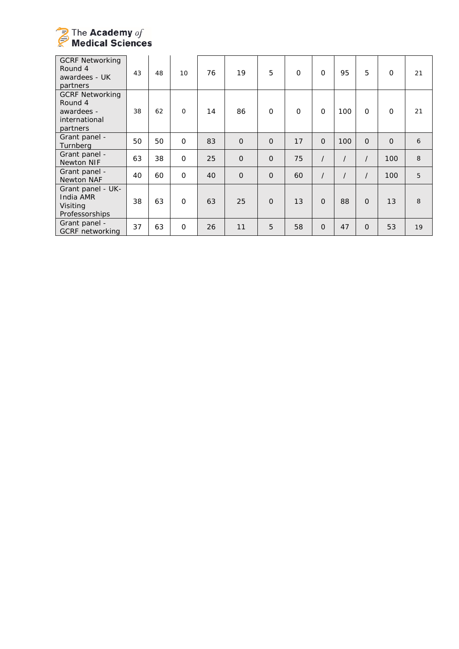

| <b>GCRF Networking</b><br>Round 4<br>awardees - UK<br>partners               | 43 | 48 | 10           | 76 | 19             | 5              | $\Omega$    | $\Omega$ | 95  | 5              | $\mathbf 0$ | 21 |
|------------------------------------------------------------------------------|----|----|--------------|----|----------------|----------------|-------------|----------|-----|----------------|-------------|----|
| <b>GCRF Networking</b><br>Round 4<br>awardees -<br>international<br>partners | 38 | 62 | $\mathbf{O}$ | 14 | 86             | $\mathsf{O}$   | $\mathbf 0$ | $\Omega$ | 100 | $\Omega$       | $\mathbf 0$ | 21 |
| Grant panel -<br>Turnberg                                                    | 50 | 50 | $\mathbf 0$  | 83 | $\Omega$       | $\Omega$       | 17          | $\Omega$ | 100 | $\Omega$       | $\Omega$    | 6  |
| Grant panel -<br>Newton NIF                                                  | 63 | 38 | $\mathbf{O}$ | 25 | $\overline{O}$ | $\overline{O}$ | 75          | $\prime$ |     |                | 100         | 8  |
| Grant panel -<br><b>Newton NAF</b>                                           | 40 | 60 | $\mathbf{O}$ | 40 | $\overline{O}$ | $\overline{O}$ | 60          | $\prime$ |     | $\prime$       | 100         | 5  |
| Grant panel - UK-<br>India AMR<br>Visiting<br>Professorships                 | 38 | 63 | $\mathbf{O}$ | 63 | 25             | $\mathbf{O}$   | 13          | $\Omega$ | 88  | $\overline{0}$ | 13          | 8  |
| Grant panel -<br><b>GCRF</b> networking                                      | 37 | 63 | $\mathbf{O}$ | 26 | 11             | 5              | 58          | $\Omega$ | 47  | $\overline{O}$ | 53          | 19 |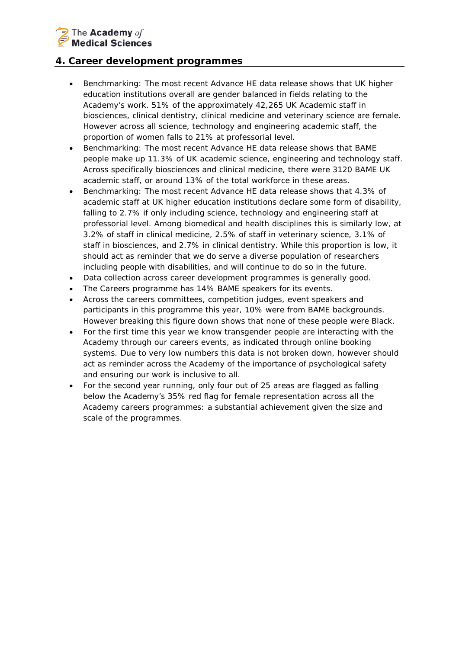# $\overline{\mathbb{R}}$  The Academy of **Medical Sciences**

## **4. Career development programmes**

- *Benchmarking: The most recent Advance HE data release shows that UK higher education institutions overall are gender balanced in fields relating to the Academy's work. 51% of the approximately 42,265 UK Academic staff in biosciences, clinical dentistry, clinical medicine and veterinary science are female. However across all science, technology and engineering academic staff, the proportion of women falls to 21% at professorial level.*
- *Benchmarking: The most recent Advance HE data release shows that BAME people make up 11.3% of UK academic science, engineering and technology staff. Across specifically biosciences and clinical medicine, there were 3120 BAME UK academic staff, or around 13% of the total workforce in these areas.*
- *Benchmarking: The most recent Advance HE data release shows that 4.3% of academic staff at UK higher education institutions declare some form of disability, falling to 2.7% if only including science, technology and engineering staff at professorial level. Among biomedical and health disciplines this is similarly low, at 3.2% of staff in clinical medicine, 2.5% of staff in veterinary science, 3.1% of staff in biosciences, and 2.7% in clinical dentistry. While this proportion is low, it should act as reminder that we do serve a diverse population of researchers including people with disabilities, and will continue to do so in the future.*
- Data collection across career development programmes is generally good.
- The Careers programme has 14% BAME speakers for its events.
- Across the careers committees, competition judges, event speakers and participants in this programme this year, 10% were from BAME backgrounds. However breaking this figure down shows that none of these people were Black.
- For the first time this year we know transgender people are interacting with the Academy through our careers events, as indicated through online booking systems. Due to very low numbers this data is not broken down, however should act as reminder across the Academy of the importance of psychological safety and ensuring our work is inclusive to all.
- For the second year running, only four out of 25 areas are flagged as falling below the Academy's 35% red flag for female representation across all the Academy careers programmes: a substantial achievement given the size and scale of the programmes.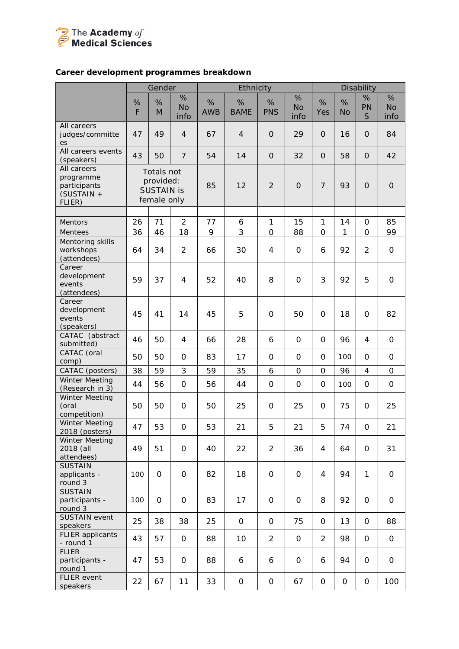

## *Career development programmes breakdown*

| %<br>%<br>%<br>%<br>%<br>%<br>%<br>%<br>%<br>%<br>%<br>PN<br><b>No</b><br><b>No</b><br><b>No</b><br>F<br><b>AWB</b><br><b>BAME</b><br><b>PNS</b><br>Yes<br>M<br><b>No</b><br>S<br>info<br>info<br>info<br>All careers<br>49<br>$\overline{4}$<br>67<br>$\overline{4}$<br>29<br>$\overline{O}$<br>84<br>judges/committe<br>47<br>$\mathbf{O}$<br>16<br>$\mathbf{O}$<br>es<br>All careers events<br>43<br>$\overline{7}$<br>50<br>54<br>14<br>32<br>58<br>42<br>$\mathbf 0$<br>$\mathbf{O}$<br>$\mathbf{O}$<br>(speakers)<br>All careers<br>Totals not<br>programme<br>provided:<br>$\overline{7}$<br>85<br>12<br>$\overline{2}$<br>93<br>participants<br>$\Omega$<br>$\mathbf{O}$<br>$\mathbf{O}$<br><b>SUSTAIN is</b><br>(SUSTAIN +<br>female only<br>FLIER)<br>$\overline{2}$<br>26<br>71<br>77<br>$\mathbf{1}$<br>15<br>1<br>14<br>85<br>Mentors<br>6<br>0<br>9<br>3<br>36<br>18<br>$\overline{O}$<br>46<br>88<br>1<br>99<br>Mentees<br>0<br>$\Omega$<br>Mentoring skills<br>34<br>$\overline{2}$<br>92<br>$\overline{2}$<br>workshops<br>64<br>30<br>4<br>O<br>6<br>0<br>66<br>(attendees)<br>Career<br>development<br>59<br>3<br>92<br>5<br>37<br>4<br>52<br>40<br>8<br>$\overline{O}$<br>$\mathsf{O}$<br>events<br>(attendees)<br>Career<br>development<br>45<br>41<br>14<br>45<br>5<br>$\mathbf 0$<br>82<br>$\mathbf 0$<br>50<br>18<br>0<br>events<br>(speakers)<br>CATAC (abstract<br>46<br>50<br>28<br>$\Omega$<br>96<br>4<br>66<br>6<br>0<br>4<br>0<br>submitted)<br>CATAC (oral<br>50<br>50<br>83<br>17<br>$\Omega$<br>$\mathsf{O}$<br>0<br>$\mathsf O$<br>$\mathbf 0$<br>100<br>0<br>comp)<br>3<br>38<br>59<br>59<br>35<br>96<br>CATAC (posters)<br>6<br>$\mathsf{O}\xspace$<br>0<br>4<br>$\mathbf 0$<br>Winter Meeting<br>44<br>$\mathsf{O}$<br>44<br>$\mathsf O$<br>$\overline{O}$<br>$\mathsf{O}$<br>56<br>56<br>$\mathsf O$<br>100<br>0<br>(Research in 3)<br><b>Winter Meeting</b><br>50<br>50<br>50<br>25<br>(oral<br>0<br>25<br>0<br>25<br>0<br>75<br>0<br>competition)<br><b>Winter Meeting</b><br>53<br>53<br>47<br>21<br>5<br>21<br>5<br>74<br>21<br>0<br>$\mathsf{O}$<br>2018 (posters)<br>Winter Meeting<br>31<br>2018 (all<br>49<br>51<br>$\mathsf{O}$<br>40<br>22<br>$\overline{2}$<br>36<br>$\overline{4}$<br>64<br>0<br>attendees)<br><b>SUSTAIN</b><br>applicants -<br>100<br>0<br>$\mathsf{O}$<br>82<br>18<br>$\mathbf{O}$<br>4<br>94<br>$\mathbf{1}$<br>$\mathsf{O}$<br>$\mathbf 0$<br>round 3<br><b>SUSTAIN</b><br>$\mathsf O$<br>83<br>17<br>8<br>92<br>participants -<br>100<br>0<br>$\mathbf 0$<br>$\mathbf 0$<br>0<br>$\mathbf 0$<br>round 3<br><b>SUSTAIN event</b><br>25<br>38<br>88<br>38<br>25<br>$\mathsf O$<br>$\mathsf{O}\xspace$<br>75<br>$\mathbf{O}$<br>13<br>0<br>speakers<br><b>FLIER</b> applicants<br>$\overline{2}$<br>43<br>57<br>$\mathsf{O}$<br>88<br>10<br>$\overline{2}$<br>$\mathbf{O}$<br>98<br>$\mathbf 0$<br>$\mathbf 0$<br>- round 1<br><b>FLIER</b><br>53<br>$\mathsf{O}\xspace$<br>88<br>94<br>participants -<br>47<br>6<br>6<br>$\mathbf 0$<br>6<br>0<br>O<br>round 1<br><b>FLIER</b> event<br>22<br>11<br>33<br>67<br>0<br>67<br>100<br>0<br>$\mathbf 0$<br>$\mathbf 0$<br>$\mathbf 0$ |          | Gender |  | Ethnicity |  |  | Disability |  |
|--------------------------------------------------------------------------------------------------------------------------------------------------------------------------------------------------------------------------------------------------------------------------------------------------------------------------------------------------------------------------------------------------------------------------------------------------------------------------------------------------------------------------------------------------------------------------------------------------------------------------------------------------------------------------------------------------------------------------------------------------------------------------------------------------------------------------------------------------------------------------------------------------------------------------------------------------------------------------------------------------------------------------------------------------------------------------------------------------------------------------------------------------------------------------------------------------------------------------------------------------------------------------------------------------------------------------------------------------------------------------------------------------------------------------------------------------------------------------------------------------------------------------------------------------------------------------------------------------------------------------------------------------------------------------------------------------------------------------------------------------------------------------------------------------------------------------------------------------------------------------------------------------------------------------------------------------------------------------------------------------------------------------------------------------------------------------------------------------------------------------------------------------------------------------------------------------------------------------------------------------------------------------------------------------------------------------------------------------------------------------------------------------------------------------------------------------------------------------------------------------------------------------------------------------------------------------------------------------------------------------------------------------------------------------------------------------------------------------------------------------------------------------------------------------------------------------------------------------------------------------------------------------------------------------------------------------------------------------------------------------------------------------------------------------------------------------------------------------------------------------------------------------------|----------|--------|--|-----------|--|--|------------|--|
|                                                                                                                                                                                                                                                                                                                                                                                                                                                                                                                                                                                                                                                                                                                                                                                                                                                                                                                                                                                                                                                                                                                                                                                                                                                                                                                                                                                                                                                                                                                                                                                                                                                                                                                                                                                                                                                                                                                                                                                                                                                                                                                                                                                                                                                                                                                                                                                                                                                                                                                                                                                                                                                                                                                                                                                                                                                                                                                                                                                                                                                                                                                                                        |          |        |  |           |  |  |            |  |
|                                                                                                                                                                                                                                                                                                                                                                                                                                                                                                                                                                                                                                                                                                                                                                                                                                                                                                                                                                                                                                                                                                                                                                                                                                                                                                                                                                                                                                                                                                                                                                                                                                                                                                                                                                                                                                                                                                                                                                                                                                                                                                                                                                                                                                                                                                                                                                                                                                                                                                                                                                                                                                                                                                                                                                                                                                                                                                                                                                                                                                                                                                                                                        |          |        |  |           |  |  |            |  |
|                                                                                                                                                                                                                                                                                                                                                                                                                                                                                                                                                                                                                                                                                                                                                                                                                                                                                                                                                                                                                                                                                                                                                                                                                                                                                                                                                                                                                                                                                                                                                                                                                                                                                                                                                                                                                                                                                                                                                                                                                                                                                                                                                                                                                                                                                                                                                                                                                                                                                                                                                                                                                                                                                                                                                                                                                                                                                                                                                                                                                                                                                                                                                        |          |        |  |           |  |  |            |  |
|                                                                                                                                                                                                                                                                                                                                                                                                                                                                                                                                                                                                                                                                                                                                                                                                                                                                                                                                                                                                                                                                                                                                                                                                                                                                                                                                                                                                                                                                                                                                                                                                                                                                                                                                                                                                                                                                                                                                                                                                                                                                                                                                                                                                                                                                                                                                                                                                                                                                                                                                                                                                                                                                                                                                                                                                                                                                                                                                                                                                                                                                                                                                                        |          |        |  |           |  |  |            |  |
|                                                                                                                                                                                                                                                                                                                                                                                                                                                                                                                                                                                                                                                                                                                                                                                                                                                                                                                                                                                                                                                                                                                                                                                                                                                                                                                                                                                                                                                                                                                                                                                                                                                                                                                                                                                                                                                                                                                                                                                                                                                                                                                                                                                                                                                                                                                                                                                                                                                                                                                                                                                                                                                                                                                                                                                                                                                                                                                                                                                                                                                                                                                                                        |          |        |  |           |  |  |            |  |
|                                                                                                                                                                                                                                                                                                                                                                                                                                                                                                                                                                                                                                                                                                                                                                                                                                                                                                                                                                                                                                                                                                                                                                                                                                                                                                                                                                                                                                                                                                                                                                                                                                                                                                                                                                                                                                                                                                                                                                                                                                                                                                                                                                                                                                                                                                                                                                                                                                                                                                                                                                                                                                                                                                                                                                                                                                                                                                                                                                                                                                                                                                                                                        |          |        |  |           |  |  |            |  |
|                                                                                                                                                                                                                                                                                                                                                                                                                                                                                                                                                                                                                                                                                                                                                                                                                                                                                                                                                                                                                                                                                                                                                                                                                                                                                                                                                                                                                                                                                                                                                                                                                                                                                                                                                                                                                                                                                                                                                                                                                                                                                                                                                                                                                                                                                                                                                                                                                                                                                                                                                                                                                                                                                                                                                                                                                                                                                                                                                                                                                                                                                                                                                        |          |        |  |           |  |  |            |  |
|                                                                                                                                                                                                                                                                                                                                                                                                                                                                                                                                                                                                                                                                                                                                                                                                                                                                                                                                                                                                                                                                                                                                                                                                                                                                                                                                                                                                                                                                                                                                                                                                                                                                                                                                                                                                                                                                                                                                                                                                                                                                                                                                                                                                                                                                                                                                                                                                                                                                                                                                                                                                                                                                                                                                                                                                                                                                                                                                                                                                                                                                                                                                                        |          |        |  |           |  |  |            |  |
|                                                                                                                                                                                                                                                                                                                                                                                                                                                                                                                                                                                                                                                                                                                                                                                                                                                                                                                                                                                                                                                                                                                                                                                                                                                                                                                                                                                                                                                                                                                                                                                                                                                                                                                                                                                                                                                                                                                                                                                                                                                                                                                                                                                                                                                                                                                                                                                                                                                                                                                                                                                                                                                                                                                                                                                                                                                                                                                                                                                                                                                                                                                                                        |          |        |  |           |  |  |            |  |
|                                                                                                                                                                                                                                                                                                                                                                                                                                                                                                                                                                                                                                                                                                                                                                                                                                                                                                                                                                                                                                                                                                                                                                                                                                                                                                                                                                                                                                                                                                                                                                                                                                                                                                                                                                                                                                                                                                                                                                                                                                                                                                                                                                                                                                                                                                                                                                                                                                                                                                                                                                                                                                                                                                                                                                                                                                                                                                                                                                                                                                                                                                                                                        |          |        |  |           |  |  |            |  |
|                                                                                                                                                                                                                                                                                                                                                                                                                                                                                                                                                                                                                                                                                                                                                                                                                                                                                                                                                                                                                                                                                                                                                                                                                                                                                                                                                                                                                                                                                                                                                                                                                                                                                                                                                                                                                                                                                                                                                                                                                                                                                                                                                                                                                                                                                                                                                                                                                                                                                                                                                                                                                                                                                                                                                                                                                                                                                                                                                                                                                                                                                                                                                        |          |        |  |           |  |  |            |  |
|                                                                                                                                                                                                                                                                                                                                                                                                                                                                                                                                                                                                                                                                                                                                                                                                                                                                                                                                                                                                                                                                                                                                                                                                                                                                                                                                                                                                                                                                                                                                                                                                                                                                                                                                                                                                                                                                                                                                                                                                                                                                                                                                                                                                                                                                                                                                                                                                                                                                                                                                                                                                                                                                                                                                                                                                                                                                                                                                                                                                                                                                                                                                                        |          |        |  |           |  |  |            |  |
|                                                                                                                                                                                                                                                                                                                                                                                                                                                                                                                                                                                                                                                                                                                                                                                                                                                                                                                                                                                                                                                                                                                                                                                                                                                                                                                                                                                                                                                                                                                                                                                                                                                                                                                                                                                                                                                                                                                                                                                                                                                                                                                                                                                                                                                                                                                                                                                                                                                                                                                                                                                                                                                                                                                                                                                                                                                                                                                                                                                                                                                                                                                                                        |          |        |  |           |  |  |            |  |
|                                                                                                                                                                                                                                                                                                                                                                                                                                                                                                                                                                                                                                                                                                                                                                                                                                                                                                                                                                                                                                                                                                                                                                                                                                                                                                                                                                                                                                                                                                                                                                                                                                                                                                                                                                                                                                                                                                                                                                                                                                                                                                                                                                                                                                                                                                                                                                                                                                                                                                                                                                                                                                                                                                                                                                                                                                                                                                                                                                                                                                                                                                                                                        |          |        |  |           |  |  |            |  |
|                                                                                                                                                                                                                                                                                                                                                                                                                                                                                                                                                                                                                                                                                                                                                                                                                                                                                                                                                                                                                                                                                                                                                                                                                                                                                                                                                                                                                                                                                                                                                                                                                                                                                                                                                                                                                                                                                                                                                                                                                                                                                                                                                                                                                                                                                                                                                                                                                                                                                                                                                                                                                                                                                                                                                                                                                                                                                                                                                                                                                                                                                                                                                        |          |        |  |           |  |  |            |  |
|                                                                                                                                                                                                                                                                                                                                                                                                                                                                                                                                                                                                                                                                                                                                                                                                                                                                                                                                                                                                                                                                                                                                                                                                                                                                                                                                                                                                                                                                                                                                                                                                                                                                                                                                                                                                                                                                                                                                                                                                                                                                                                                                                                                                                                                                                                                                                                                                                                                                                                                                                                                                                                                                                                                                                                                                                                                                                                                                                                                                                                                                                                                                                        |          |        |  |           |  |  |            |  |
|                                                                                                                                                                                                                                                                                                                                                                                                                                                                                                                                                                                                                                                                                                                                                                                                                                                                                                                                                                                                                                                                                                                                                                                                                                                                                                                                                                                                                                                                                                                                                                                                                                                                                                                                                                                                                                                                                                                                                                                                                                                                                                                                                                                                                                                                                                                                                                                                                                                                                                                                                                                                                                                                                                                                                                                                                                                                                                                                                                                                                                                                                                                                                        |          |        |  |           |  |  |            |  |
|                                                                                                                                                                                                                                                                                                                                                                                                                                                                                                                                                                                                                                                                                                                                                                                                                                                                                                                                                                                                                                                                                                                                                                                                                                                                                                                                                                                                                                                                                                                                                                                                                                                                                                                                                                                                                                                                                                                                                                                                                                                                                                                                                                                                                                                                                                                                                                                                                                                                                                                                                                                                                                                                                                                                                                                                                                                                                                                                                                                                                                                                                                                                                        |          |        |  |           |  |  |            |  |
|                                                                                                                                                                                                                                                                                                                                                                                                                                                                                                                                                                                                                                                                                                                                                                                                                                                                                                                                                                                                                                                                                                                                                                                                                                                                                                                                                                                                                                                                                                                                                                                                                                                                                                                                                                                                                                                                                                                                                                                                                                                                                                                                                                                                                                                                                                                                                                                                                                                                                                                                                                                                                                                                                                                                                                                                                                                                                                                                                                                                                                                                                                                                                        |          |        |  |           |  |  |            |  |
|                                                                                                                                                                                                                                                                                                                                                                                                                                                                                                                                                                                                                                                                                                                                                                                                                                                                                                                                                                                                                                                                                                                                                                                                                                                                                                                                                                                                                                                                                                                                                                                                                                                                                                                                                                                                                                                                                                                                                                                                                                                                                                                                                                                                                                                                                                                                                                                                                                                                                                                                                                                                                                                                                                                                                                                                                                                                                                                                                                                                                                                                                                                                                        |          |        |  |           |  |  |            |  |
|                                                                                                                                                                                                                                                                                                                                                                                                                                                                                                                                                                                                                                                                                                                                                                                                                                                                                                                                                                                                                                                                                                                                                                                                                                                                                                                                                                                                                                                                                                                                                                                                                                                                                                                                                                                                                                                                                                                                                                                                                                                                                                                                                                                                                                                                                                                                                                                                                                                                                                                                                                                                                                                                                                                                                                                                                                                                                                                                                                                                                                                                                                                                                        |          |        |  |           |  |  |            |  |
|                                                                                                                                                                                                                                                                                                                                                                                                                                                                                                                                                                                                                                                                                                                                                                                                                                                                                                                                                                                                                                                                                                                                                                                                                                                                                                                                                                                                                                                                                                                                                                                                                                                                                                                                                                                                                                                                                                                                                                                                                                                                                                                                                                                                                                                                                                                                                                                                                                                                                                                                                                                                                                                                                                                                                                                                                                                                                                                                                                                                                                                                                                                                                        |          |        |  |           |  |  |            |  |
|                                                                                                                                                                                                                                                                                                                                                                                                                                                                                                                                                                                                                                                                                                                                                                                                                                                                                                                                                                                                                                                                                                                                                                                                                                                                                                                                                                                                                                                                                                                                                                                                                                                                                                                                                                                                                                                                                                                                                                                                                                                                                                                                                                                                                                                                                                                                                                                                                                                                                                                                                                                                                                                                                                                                                                                                                                                                                                                                                                                                                                                                                                                                                        |          |        |  |           |  |  |            |  |
|                                                                                                                                                                                                                                                                                                                                                                                                                                                                                                                                                                                                                                                                                                                                                                                                                                                                                                                                                                                                                                                                                                                                                                                                                                                                                                                                                                                                                                                                                                                                                                                                                                                                                                                                                                                                                                                                                                                                                                                                                                                                                                                                                                                                                                                                                                                                                                                                                                                                                                                                                                                                                                                                                                                                                                                                                                                                                                                                                                                                                                                                                                                                                        |          |        |  |           |  |  |            |  |
|                                                                                                                                                                                                                                                                                                                                                                                                                                                                                                                                                                                                                                                                                                                                                                                                                                                                                                                                                                                                                                                                                                                                                                                                                                                                                                                                                                                                                                                                                                                                                                                                                                                                                                                                                                                                                                                                                                                                                                                                                                                                                                                                                                                                                                                                                                                                                                                                                                                                                                                                                                                                                                                                                                                                                                                                                                                                                                                                                                                                                                                                                                                                                        |          |        |  |           |  |  |            |  |
|                                                                                                                                                                                                                                                                                                                                                                                                                                                                                                                                                                                                                                                                                                                                                                                                                                                                                                                                                                                                                                                                                                                                                                                                                                                                                                                                                                                                                                                                                                                                                                                                                                                                                                                                                                                                                                                                                                                                                                                                                                                                                                                                                                                                                                                                                                                                                                                                                                                                                                                                                                                                                                                                                                                                                                                                                                                                                                                                                                                                                                                                                                                                                        |          |        |  |           |  |  |            |  |
|                                                                                                                                                                                                                                                                                                                                                                                                                                                                                                                                                                                                                                                                                                                                                                                                                                                                                                                                                                                                                                                                                                                                                                                                                                                                                                                                                                                                                                                                                                                                                                                                                                                                                                                                                                                                                                                                                                                                                                                                                                                                                                                                                                                                                                                                                                                                                                                                                                                                                                                                                                                                                                                                                                                                                                                                                                                                                                                                                                                                                                                                                                                                                        |          |        |  |           |  |  |            |  |
|                                                                                                                                                                                                                                                                                                                                                                                                                                                                                                                                                                                                                                                                                                                                                                                                                                                                                                                                                                                                                                                                                                                                                                                                                                                                                                                                                                                                                                                                                                                                                                                                                                                                                                                                                                                                                                                                                                                                                                                                                                                                                                                                                                                                                                                                                                                                                                                                                                                                                                                                                                                                                                                                                                                                                                                                                                                                                                                                                                                                                                                                                                                                                        |          |        |  |           |  |  |            |  |
|                                                                                                                                                                                                                                                                                                                                                                                                                                                                                                                                                                                                                                                                                                                                                                                                                                                                                                                                                                                                                                                                                                                                                                                                                                                                                                                                                                                                                                                                                                                                                                                                                                                                                                                                                                                                                                                                                                                                                                                                                                                                                                                                                                                                                                                                                                                                                                                                                                                                                                                                                                                                                                                                                                                                                                                                                                                                                                                                                                                                                                                                                                                                                        |          |        |  |           |  |  |            |  |
|                                                                                                                                                                                                                                                                                                                                                                                                                                                                                                                                                                                                                                                                                                                                                                                                                                                                                                                                                                                                                                                                                                                                                                                                                                                                                                                                                                                                                                                                                                                                                                                                                                                                                                                                                                                                                                                                                                                                                                                                                                                                                                                                                                                                                                                                                                                                                                                                                                                                                                                                                                                                                                                                                                                                                                                                                                                                                                                                                                                                                                                                                                                                                        |          |        |  |           |  |  |            |  |
|                                                                                                                                                                                                                                                                                                                                                                                                                                                                                                                                                                                                                                                                                                                                                                                                                                                                                                                                                                                                                                                                                                                                                                                                                                                                                                                                                                                                                                                                                                                                                                                                                                                                                                                                                                                                                                                                                                                                                                                                                                                                                                                                                                                                                                                                                                                                                                                                                                                                                                                                                                                                                                                                                                                                                                                                                                                                                                                                                                                                                                                                                                                                                        |          |        |  |           |  |  |            |  |
|                                                                                                                                                                                                                                                                                                                                                                                                                                                                                                                                                                                                                                                                                                                                                                                                                                                                                                                                                                                                                                                                                                                                                                                                                                                                                                                                                                                                                                                                                                                                                                                                                                                                                                                                                                                                                                                                                                                                                                                                                                                                                                                                                                                                                                                                                                                                                                                                                                                                                                                                                                                                                                                                                                                                                                                                                                                                                                                                                                                                                                                                                                                                                        |          |        |  |           |  |  |            |  |
|                                                                                                                                                                                                                                                                                                                                                                                                                                                                                                                                                                                                                                                                                                                                                                                                                                                                                                                                                                                                                                                                                                                                                                                                                                                                                                                                                                                                                                                                                                                                                                                                                                                                                                                                                                                                                                                                                                                                                                                                                                                                                                                                                                                                                                                                                                                                                                                                                                                                                                                                                                                                                                                                                                                                                                                                                                                                                                                                                                                                                                                                                                                                                        |          |        |  |           |  |  |            |  |
|                                                                                                                                                                                                                                                                                                                                                                                                                                                                                                                                                                                                                                                                                                                                                                                                                                                                                                                                                                                                                                                                                                                                                                                                                                                                                                                                                                                                                                                                                                                                                                                                                                                                                                                                                                                                                                                                                                                                                                                                                                                                                                                                                                                                                                                                                                                                                                                                                                                                                                                                                                                                                                                                                                                                                                                                                                                                                                                                                                                                                                                                                                                                                        |          |        |  |           |  |  |            |  |
|                                                                                                                                                                                                                                                                                                                                                                                                                                                                                                                                                                                                                                                                                                                                                                                                                                                                                                                                                                                                                                                                                                                                                                                                                                                                                                                                                                                                                                                                                                                                                                                                                                                                                                                                                                                                                                                                                                                                                                                                                                                                                                                                                                                                                                                                                                                                                                                                                                                                                                                                                                                                                                                                                                                                                                                                                                                                                                                                                                                                                                                                                                                                                        |          |        |  |           |  |  |            |  |
|                                                                                                                                                                                                                                                                                                                                                                                                                                                                                                                                                                                                                                                                                                                                                                                                                                                                                                                                                                                                                                                                                                                                                                                                                                                                                                                                                                                                                                                                                                                                                                                                                                                                                                                                                                                                                                                                                                                                                                                                                                                                                                                                                                                                                                                                                                                                                                                                                                                                                                                                                                                                                                                                                                                                                                                                                                                                                                                                                                                                                                                                                                                                                        |          |        |  |           |  |  |            |  |
|                                                                                                                                                                                                                                                                                                                                                                                                                                                                                                                                                                                                                                                                                                                                                                                                                                                                                                                                                                                                                                                                                                                                                                                                                                                                                                                                                                                                                                                                                                                                                                                                                                                                                                                                                                                                                                                                                                                                                                                                                                                                                                                                                                                                                                                                                                                                                                                                                                                                                                                                                                                                                                                                                                                                                                                                                                                                                                                                                                                                                                                                                                                                                        |          |        |  |           |  |  |            |  |
|                                                                                                                                                                                                                                                                                                                                                                                                                                                                                                                                                                                                                                                                                                                                                                                                                                                                                                                                                                                                                                                                                                                                                                                                                                                                                                                                                                                                                                                                                                                                                                                                                                                                                                                                                                                                                                                                                                                                                                                                                                                                                                                                                                                                                                                                                                                                                                                                                                                                                                                                                                                                                                                                                                                                                                                                                                                                                                                                                                                                                                                                                                                                                        |          |        |  |           |  |  |            |  |
|                                                                                                                                                                                                                                                                                                                                                                                                                                                                                                                                                                                                                                                                                                                                                                                                                                                                                                                                                                                                                                                                                                                                                                                                                                                                                                                                                                                                                                                                                                                                                                                                                                                                                                                                                                                                                                                                                                                                                                                                                                                                                                                                                                                                                                                                                                                                                                                                                                                                                                                                                                                                                                                                                                                                                                                                                                                                                                                                                                                                                                                                                                                                                        |          |        |  |           |  |  |            |  |
|                                                                                                                                                                                                                                                                                                                                                                                                                                                                                                                                                                                                                                                                                                                                                                                                                                                                                                                                                                                                                                                                                                                                                                                                                                                                                                                                                                                                                                                                                                                                                                                                                                                                                                                                                                                                                                                                                                                                                                                                                                                                                                                                                                                                                                                                                                                                                                                                                                                                                                                                                                                                                                                                                                                                                                                                                                                                                                                                                                                                                                                                                                                                                        |          |        |  |           |  |  |            |  |
|                                                                                                                                                                                                                                                                                                                                                                                                                                                                                                                                                                                                                                                                                                                                                                                                                                                                                                                                                                                                                                                                                                                                                                                                                                                                                                                                                                                                                                                                                                                                                                                                                                                                                                                                                                                                                                                                                                                                                                                                                                                                                                                                                                                                                                                                                                                                                                                                                                                                                                                                                                                                                                                                                                                                                                                                                                                                                                                                                                                                                                                                                                                                                        |          |        |  |           |  |  |            |  |
|                                                                                                                                                                                                                                                                                                                                                                                                                                                                                                                                                                                                                                                                                                                                                                                                                                                                                                                                                                                                                                                                                                                                                                                                                                                                                                                                                                                                                                                                                                                                                                                                                                                                                                                                                                                                                                                                                                                                                                                                                                                                                                                                                                                                                                                                                                                                                                                                                                                                                                                                                                                                                                                                                                                                                                                                                                                                                                                                                                                                                                                                                                                                                        |          |        |  |           |  |  |            |  |
|                                                                                                                                                                                                                                                                                                                                                                                                                                                                                                                                                                                                                                                                                                                                                                                                                                                                                                                                                                                                                                                                                                                                                                                                                                                                                                                                                                                                                                                                                                                                                                                                                                                                                                                                                                                                                                                                                                                                                                                                                                                                                                                                                                                                                                                                                                                                                                                                                                                                                                                                                                                                                                                                                                                                                                                                                                                                                                                                                                                                                                                                                                                                                        |          |        |  |           |  |  |            |  |
|                                                                                                                                                                                                                                                                                                                                                                                                                                                                                                                                                                                                                                                                                                                                                                                                                                                                                                                                                                                                                                                                                                                                                                                                                                                                                                                                                                                                                                                                                                                                                                                                                                                                                                                                                                                                                                                                                                                                                                                                                                                                                                                                                                                                                                                                                                                                                                                                                                                                                                                                                                                                                                                                                                                                                                                                                                                                                                                                                                                                                                                                                                                                                        |          |        |  |           |  |  |            |  |
|                                                                                                                                                                                                                                                                                                                                                                                                                                                                                                                                                                                                                                                                                                                                                                                                                                                                                                                                                                                                                                                                                                                                                                                                                                                                                                                                                                                                                                                                                                                                                                                                                                                                                                                                                                                                                                                                                                                                                                                                                                                                                                                                                                                                                                                                                                                                                                                                                                                                                                                                                                                                                                                                                                                                                                                                                                                                                                                                                                                                                                                                                                                                                        |          |        |  |           |  |  |            |  |
|                                                                                                                                                                                                                                                                                                                                                                                                                                                                                                                                                                                                                                                                                                                                                                                                                                                                                                                                                                                                                                                                                                                                                                                                                                                                                                                                                                                                                                                                                                                                                                                                                                                                                                                                                                                                                                                                                                                                                                                                                                                                                                                                                                                                                                                                                                                                                                                                                                                                                                                                                                                                                                                                                                                                                                                                                                                                                                                                                                                                                                                                                                                                                        |          |        |  |           |  |  |            |  |
|                                                                                                                                                                                                                                                                                                                                                                                                                                                                                                                                                                                                                                                                                                                                                                                                                                                                                                                                                                                                                                                                                                                                                                                                                                                                                                                                                                                                                                                                                                                                                                                                                                                                                                                                                                                                                                                                                                                                                                                                                                                                                                                                                                                                                                                                                                                                                                                                                                                                                                                                                                                                                                                                                                                                                                                                                                                                                                                                                                                                                                                                                                                                                        |          |        |  |           |  |  |            |  |
|                                                                                                                                                                                                                                                                                                                                                                                                                                                                                                                                                                                                                                                                                                                                                                                                                                                                                                                                                                                                                                                                                                                                                                                                                                                                                                                                                                                                                                                                                                                                                                                                                                                                                                                                                                                                                                                                                                                                                                                                                                                                                                                                                                                                                                                                                                                                                                                                                                                                                                                                                                                                                                                                                                                                                                                                                                                                                                                                                                                                                                                                                                                                                        |          |        |  |           |  |  |            |  |
|                                                                                                                                                                                                                                                                                                                                                                                                                                                                                                                                                                                                                                                                                                                                                                                                                                                                                                                                                                                                                                                                                                                                                                                                                                                                                                                                                                                                                                                                                                                                                                                                                                                                                                                                                                                                                                                                                                                                                                                                                                                                                                                                                                                                                                                                                                                                                                                                                                                                                                                                                                                                                                                                                                                                                                                                                                                                                                                                                                                                                                                                                                                                                        | speakers |        |  |           |  |  |            |  |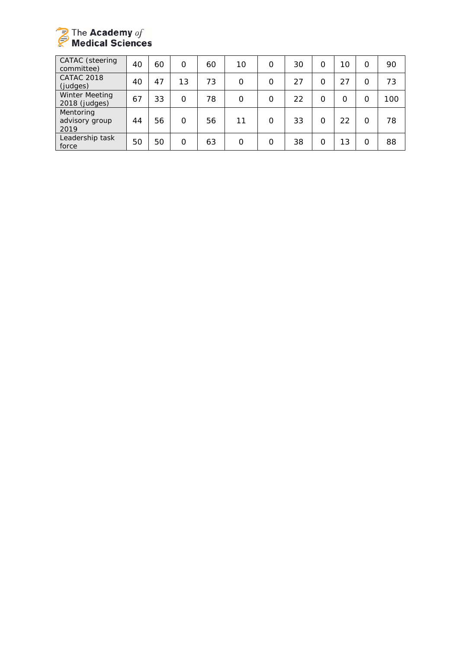

| <b>CATAC</b> (steering<br>committee)   | 40 | 60 | O        | 60 | 10       | 0        | 30 | O        | 10 | O | 90  |
|----------------------------------------|----|----|----------|----|----------|----------|----|----------|----|---|-----|
| <b>CATAC 2018</b><br>(judges)          | 40 | 47 | 13       | 73 | $\Omega$ | $\Omega$ | 27 | 0        | 27 | O | 73  |
| <b>Winter Meeting</b><br>2018 (judges) | 67 | 33 | O        | 78 | $\Omega$ | 0        | 22 | $\Omega$ | 0  | Ω | 100 |
| Mentoring<br>advisory group<br>2019    | 44 | 56 | O        | 56 | 11       | 0        | 33 | O        | 22 | Ω | 78  |
| Leadership task<br>force               | 50 | 50 | $\Omega$ | 63 | $\Omega$ | $\Omega$ | 38 | $\Omega$ | 13 | Ω | 88  |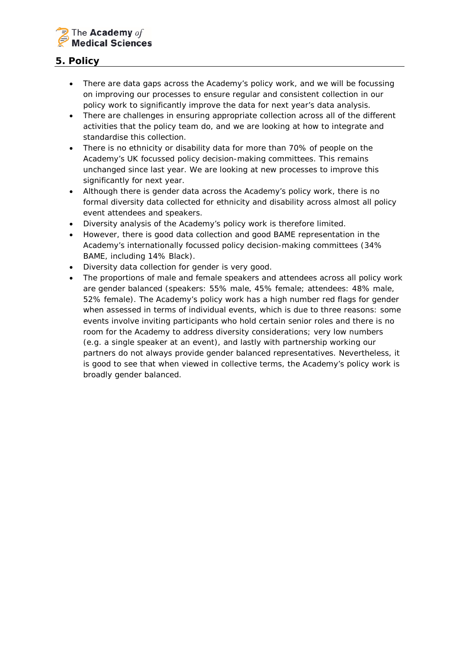

# **5. Policy**

- There are data gaps across the Academy's policy work, and we will be focussing on improving our processes to ensure regular and consistent collection in our policy work to significantly improve the data for next year's data analysis.
- There are challenges in ensuring appropriate collection across all of the different activities that the policy team do, and we are looking at how to integrate and standardise this collection.
- There is no ethnicity or disability data for more than 70% of people on the Academy's UK focussed policy decision-making committees. This remains unchanged since last year. We are looking at new processes to improve this significantly for next year.
- Although there is gender data across the Academy's policy work, there is no formal diversity data collected for ethnicity and disability across almost all policy event attendees and speakers.
- Diversity analysis of the Academy's policy work is therefore limited.
- However, there is good data collection and good BAME representation in the Academy's internationally focussed policy decision-making committees (34% BAME, including 14% Black).
- Diversity data collection for gender is very good.
- The proportions of male and female speakers and attendees across all policy work are gender balanced (speakers: 55% male, 45% female; attendees: 48% male, 52% female). The Academy's policy work has a high number red flags for gender when assessed in terms of individual events, which is due to three reasons: some events involve inviting participants who hold certain senior roles and there is no room for the Academy to address diversity considerations; very low numbers (e.g. a single speaker at an event), and lastly with partnership working our partners do not always provide gender balanced representatives. Nevertheless, it is good to see that when viewed in collective terms, the Academy's policy work is broadly gender balanced.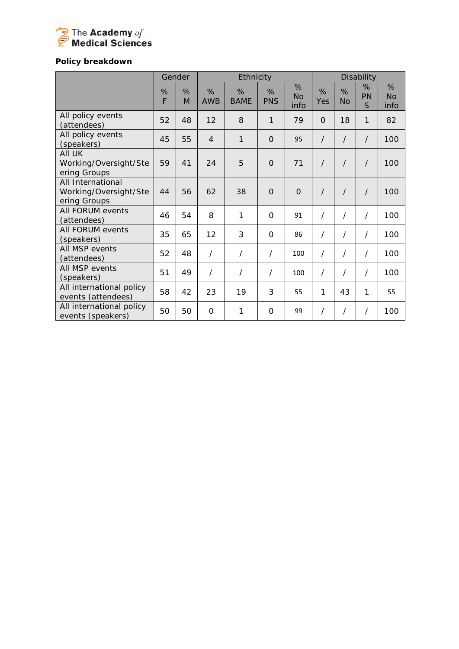

# *Policy breakdown*

|                                                            |        | Gender | Ethnicity       |                  |                 |                        | <b>Disability</b> |                |              |                        |
|------------------------------------------------------------|--------|--------|-----------------|------------------|-----------------|------------------------|-------------------|----------------|--------------|------------------------|
|                                                            | %<br>F | %<br>M | %<br><b>AWB</b> | %<br><b>BAME</b> | %<br><b>PNS</b> | %<br><b>No</b><br>info | %<br>Yes          | %<br><b>No</b> | %<br>PN<br>S | %<br><b>No</b><br>info |
| All policy events<br>(attendees)                           | 52     | 48     | 12              | 8                | 1               | 79                     | $\overline{O}$    | 18             | 1            | 82                     |
| All policy events<br>(speakers)                            | 45     | 55     | $\overline{4}$  | $\mathbf{1}$     | $\overline{O}$  | 95                     | $\prime$          | $\prime$       | $\prime$     | 100                    |
| All UK<br>Working/Oversight/Ste<br>ering Groups            | 59     | 41     | 24              | 5                | $\mathbf{O}$    | 71                     | $\prime$          | $\prime$       | $\prime$     | 100                    |
| All International<br>Working/Oversight/Ste<br>ering Groups | 44     | 56     | 62              | 38               | $\Omega$        | $\Omega$               | $\prime$          | $\prime$       | $\prime$     | 100                    |
| All FORUM events<br>(attendees)                            | 46     | 54     | 8               | 1                | $\Omega$        | 91                     |                   | 7              | $\prime$     | 100                    |
| All FORUM events<br>(speakers)                             | 35     | 65     | 12              | 3                | $\Omega$        | 86                     | $\prime$          | $\prime$       | $\prime$     | 100                    |
| All MSP events<br>(attendees)                              | 52     | 48     | $\prime$        | $\prime$         | $\prime$        | 100                    | $\prime$          | 7              | $\prime$     | 100                    |
| All MSP events<br>(speakers)                               | 51     | 49     | $\prime$        | $\prime$         | $\prime$        | 100                    | $\prime$          | /              | $\prime$     | 100                    |
| All international policy<br>events (attendees)             | 58     | 42     | 23              | 19               | 3               | 55                     | 1                 | 43             | 1            | 55                     |
| All international policy<br>events (speakers)              | 50     | 50     | 0               | 1                | O               | 99                     |                   | Τ              | $\prime$     | 100                    |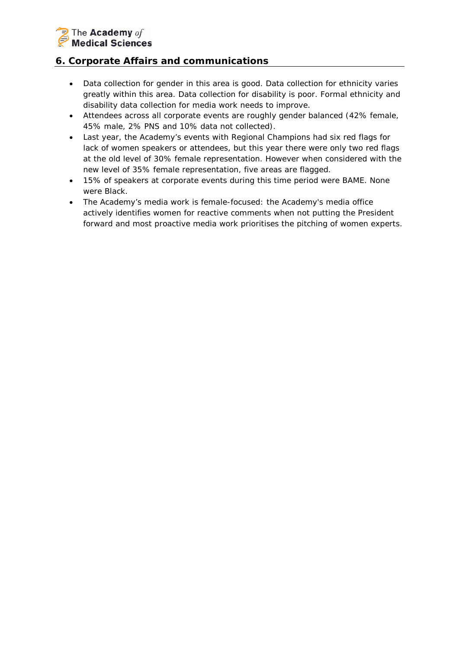# The Academy of **Medical Sciences**

# **6. Corporate Affairs and communications**

- Data collection for gender in this area is good. Data collection for ethnicity varies greatly within this area. Data collection for disability is poor. Formal ethnicity and disability data collection for media work needs to improve.
- Attendees across all corporate events are roughly gender balanced (42% female, 45% male, 2% PNS and 10% data not collected).
- Last year, the Academy's events with Regional Champions had six red flags for lack of women speakers or attendees, but this year there were only two red flags at the old level of 30% female representation. However when considered with the new level of 35% female representation, five areas are flagged.
- 15% of speakers at corporate events during this time period were BAME. None were Black.
- The Academy's media work is female-focused: the Academy's media office actively identifies women for reactive comments when not putting the President forward and most proactive media work prioritises the pitching of women experts.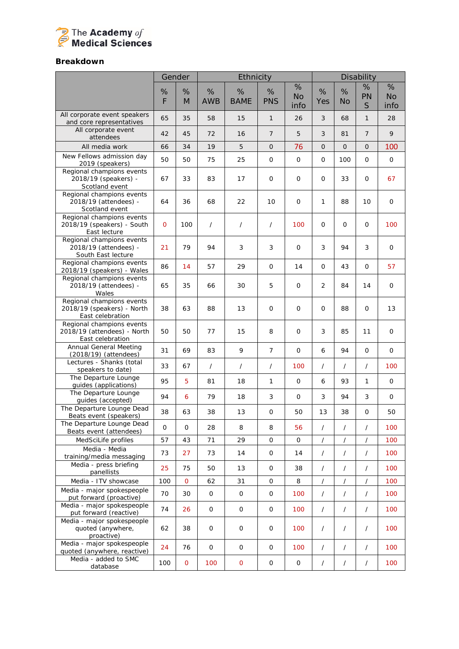

## *Breakdown*

|                                                                              | Gender         |                |                     | Ethnicity           |                 |                        |                | Disability     |                |                        |
|------------------------------------------------------------------------------|----------------|----------------|---------------------|---------------------|-----------------|------------------------|----------------|----------------|----------------|------------------------|
|                                                                              | %<br>F         | %<br>M         | %<br><b>AWB</b>     | %<br><b>BAME</b>    | %<br><b>PNS</b> | %<br><b>No</b><br>info | %<br>Yes       | %<br>No        | %<br>PN<br>S   | %<br><b>No</b><br>info |
| All corporate event speakers<br>and core representatives                     | 65             | 35             | 58                  | 15                  | $\mathbf{1}$    | 26                     | 3              | 68             | 1              | 28                     |
| All corporate event<br>attendees                                             | 42             | 45             | 72                  | 16                  | $\overline{7}$  | 5                      | 3              | 81             | $\overline{7}$ | 9                      |
| All media work                                                               | 66             | 34             | 19                  | 5                   | $\mathbf 0$     | 76                     | $\Omega$       | $\mathbf 0$    | 0              | 100                    |
| New Fellows admission day<br>2019 (speakers)                                 | 50             | 50             | 75                  | 25                  | 0               | $\mathsf{O}$           | $\mathsf{O}$   | 100            | 0              | $\mathsf{O}\xspace$    |
| Regional champions events<br>2018/19 (speakers) -<br>Scotland event          | 67             | 33             | 83                  | 17                  | 0               | 0                      | $\mathsf{O}$   | 33             | 0              | 67                     |
| Regional champions events<br>2018/19 (attendees) -<br>Scotland event         | 64             | 36             | 68                  | 22                  | 10              | 0                      | 1              | 88             | 10             | 0                      |
| Regional champions events<br>2018/19 (speakers) - South<br>East lecture      | $\overline{O}$ | 100            | $\prime$            | $\sqrt{2}$          | $\prime$        | 100                    | $\mathbf{O}$   | $\mathbf{O}$   | $\mathsf{O}$   | 100                    |
| Regional champions events<br>2018/19 (attendees) -<br>South East lecture     | 21             | 79             | 94                  | 3                   | 3               | $\mathbf 0$            | 3              | 94             | 3              | 0                      |
| Regional champions events<br>2018/19 (speakers) - Wales                      | 86             | 14             | 57                  | 29                  | 0               | 14                     | 0              | 43             | 0              | 57                     |
| Regional champions events<br>2018/19 (attendees) -<br>Wales                  | 65             | 35             | 66                  | 30                  | 5               | 0                      | $\overline{2}$ | 84             | 14             | $\mathsf{O}$           |
| Regional champions events<br>2018/19 (speakers) - North<br>East celebration  | 38             | 63             | 88                  | 13                  | $\mathsf{O}$    | 0                      | $\mathsf{O}$   | 88             | 0              | 13                     |
| Regional champions events<br>2018/19 (attendees) - North<br>East celebration | 50             | 50             | 77                  | 15                  | 8               | 0                      | 3              | 85             | 11             | 0                      |
| <b>Annual General Meeting</b><br>(2018/19) (attendees)                       | 31             | 69             | 83                  | 9                   | $\overline{7}$  | 0                      | 6              | 94             | $\mathbf{O}$   | $\mathsf{O}$           |
| Lectures - Shanks (total<br>speakers to date)                                | 33             | 67             | $\prime$            | $\prime$            | $\overline{1}$  | 100                    | $\prime$       | $\overline{1}$ | $\prime$       | 100                    |
| The Departure Lounge<br>guides (applications)                                | 95             | 5              | 81                  | 18                  | 1               | 0                      | 6              | 93             | 1              | $\mathsf{O}$           |
| The Departure Lounge<br>guides (accepted)                                    | 94             | 6              | 79                  | 18                  | 3               | 0                      | 3              | 94             | 3              | $\mathsf{O}$           |
| The Departure Lounge Dead<br>Beats event (speakers)                          | 38             | 63             | 38                  | 13                  | $\mathsf{O}$    | 50                     | 13             | 38             | 0              | 50                     |
| The Departure Lounge Dead<br>Beats event (attendees)                         | 0              | 0              | 28                  | 8                   | 8               | 56                     | $\prime$       | $\sqrt{2}$     | $\sqrt{2}$     | 100                    |
| MedSciLife profiles                                                          | 57             | 43             | 71                  | 29                  | 0               | 0                      | $\overline{1}$ | /              | $\prime$       | 100                    |
| Media - Media<br>training/media messaging                                    | 73             | 27             | 73                  | 14                  | $\mathsf{O}$    | 14                     | $\prime$       | $\prime$       | $\prime$       | 100                    |
| Media - press briefing<br>panellists                                         | 25             | 75             | 50                  | 13                  | 0               | 38                     | $\prime$       | $\prime$       | $\sqrt{2}$     | 100                    |
| Media - ITV showcase                                                         | 100            | $\overline{O}$ | 62                  | 31                  | 0               | 8                      | $\sqrt{2}$     | $\prime$       | $\overline{1}$ | 100                    |
| Media - major spokespeople<br>put forward (proactive)                        | 70             | 30             | $\mathsf{O}\xspace$ | $\mathsf O$         | 0               | 100                    | $\overline{1}$ | $\overline{1}$ | $\overline{1}$ | 100                    |
| Media - major spokespeople<br>put forward (reactive)                         | 74             | 26             | $\mathsf{O}$        | $\mathsf{O}$        | $\mathsf{O}$    | 100                    | $\prime$       | $\sqrt{2}$     | $\overline{1}$ | 100                    |
| Media - major spokespeople<br>quoted (anywhere,<br>proactive)                | 62             | 38             | $\mathsf{O}\xspace$ | $\mathsf{O}$        | 0               | 100                    | $\prime$       | $\prime$       | $\overline{1}$ | 100                    |
| Media - major spokespeople<br>quoted (anywhere, reactive)                    | 24             | 76             | $\mathbf 0$         | 0                   | 0               | 100                    | $\prime$       | $\overline{1}$ | $\overline{1}$ | 100                    |
| Media - added to SMC<br>database                                             | 100            | 0              | 100                 | $\mathsf{O}\xspace$ | 0               | 0                      | $\prime$       | $\sqrt{2}$     | $\overline{1}$ | 100                    |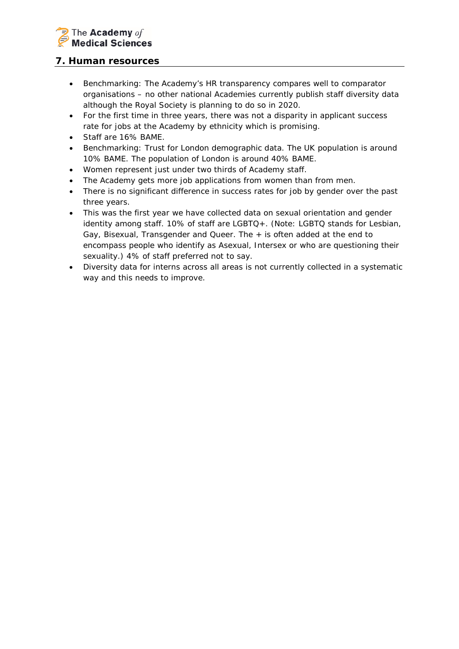

## **7. Human resources**

- *Benchmarking: The Academy's HR transparency compares well to comparator organisations – no other national Academies currently publish staff diversity data although the Royal Society is planning to do so in 2020.*
- For the first time in three years, there was not a disparity in applicant success rate for jobs at the Academy by ethnicity which is promising.
- Staff are 16% BAME.
- *Benchmarking: Trust for London demographic data. The UK population is around 10% BAME. The population of London is around 40% BAME.*
- Women represent just under two thirds of Academy staff.
- The Academy gets more job applications from women than from men.
- There is no significant difference in success rates for job by gender over the past three years.
- This was the first year we have collected data on sexual orientation and gender identity among staff. 10% of staff are LGBTQ+. *(Note: LGBTQ stands for Lesbian, Gay, Bisexual, Transgender and Queer. The + is often added at the end to encompass people who identify as Asexual, Intersex or who are questioning their sexuality.)* 4% of staff preferred not to say.
- Diversity data for interns across all areas is not currently collected in a systematic way and this needs to improve.